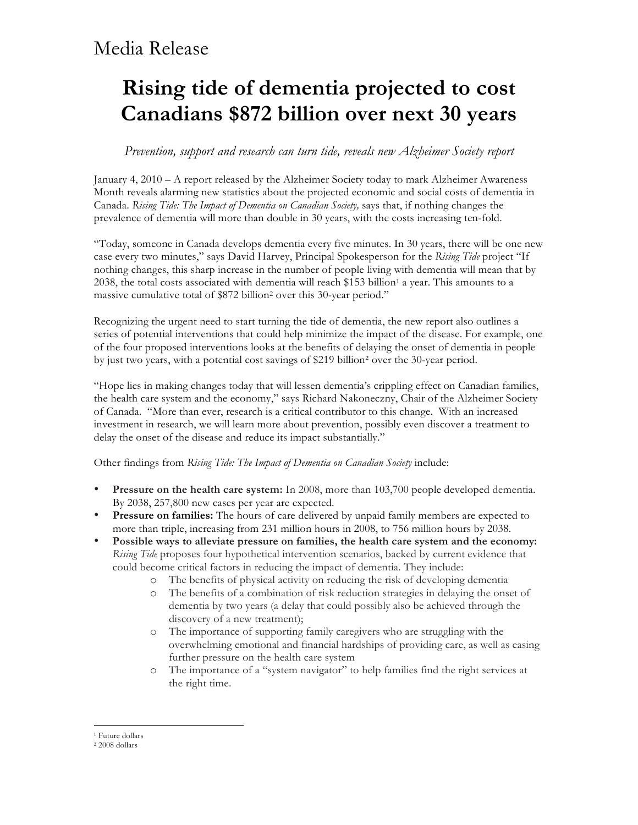### Media Release

# **Rising tide of dementia projected to cost Canadians \$872 billion over next 30 years**

### *Prevention, support and research can turn tide, reveals new Alzheimer Society report*

January 4, 2010 – A report released by the Alzheimer Society today to mark Alzheimer Awareness Month reveals alarming new statistics about the projected economic and social costs of dementia in Canada. *Rising Tide: The Impact of Dementia on Canadian Society,* says that, if nothing changes the prevalence of dementia will more than double in 30 years, with the costs increasing ten-fold.

"Today, someone in Canada develops dementia every five minutes. In 30 years, there will be one new case every two minutes," says David Harvey, Principal Spokesperson for the *Rising Tide* project "If nothing changes, this sharp increase in the number of people living with dementia will mean that by 2038, the total costs associated with dementia will reach \$153 billion<sup>1</sup> a year. This amounts to a massive cumulative total of \$872 billion2 over this 30-year period."

Recognizing the urgent need to start turning the tide of dementia, the new report also outlines a series of potential interventions that could help minimize the impact of the disease. For example, one of the four proposed interventions looks at the benefits of delaying the onset of dementia in people by just two years, with a potential cost savings of \$219 billion<sup>2</sup> over the 30-year period.

"Hope lies in making changes today that will lessen dementia's crippling effect on Canadian families, the health care system and the economy," says Richard Nakoneczny, Chair of the Alzheimer Society of Canada. "More than ever, research is a critical contributor to this change. With an increased investment in research, we will learn more about prevention, possibly even discover a treatment to delay the onset of the disease and reduce its impact substantially."

Other findings from *Rising Tide: The Impact of Dementia on Canadian Society* include:

- **Pressure on the health care system:** In 2008, more than 103,700 people developed dementia. By 2038, 257,800 new cases per year are expected.
- **Pressure on families:** The hours of care delivered by unpaid family members are expected to more than triple, increasing from 231 million hours in 2008, to 756 million hours by 2038.
- **Possible ways to alleviate pressure on families, the health care system and the economy:** *Rising Tide* proposes four hypothetical intervention scenarios, backed by current evidence that could become critical factors in reducing the impact of dementia. They include:
	- o The benefits of physical activity on reducing the risk of developing dementia
	- o The benefits of a combination of risk reduction strategies in delaying the onset of dementia by two years (a delay that could possibly also be achieved through the discovery of a new treatment);
	- o The importance of supporting family caregivers who are struggling with the overwhelming emotional and financial hardships of providing care, as well as easing further pressure on the health care system
	- o The importance of a "system navigator" to help families find the right services at the right time.

 $\overline{a}$ <sup>1</sup> Future dollars

<sup>2</sup> 2008 dollars